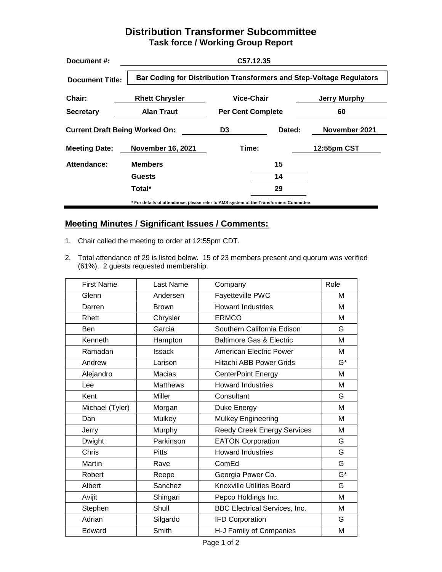## **Distribution Transformer Subcommittee Task force / Working Group Report**

| Document #:                           | C57.12.35                                                                             |                          |        |               |  |
|---------------------------------------|---------------------------------------------------------------------------------------|--------------------------|--------|---------------|--|
| <b>Document Title:</b>                | <b>Bar Coding for Distribution Transformers and Step-Voltage Regulators</b>           |                          |        |               |  |
| Chair:                                | <b>Rhett Chrysler</b>                                                                 | Vice-Chair               |        | Jerry Murphy  |  |
| <b>Secretary</b>                      | <b>Alan Traut</b>                                                                     | <b>Per Cent Complete</b> |        | 60            |  |
| <b>Current Draft Being Worked On:</b> |                                                                                       | D <sub>3</sub>           | Dated: | November 2021 |  |
| <b>Meeting Date:</b>                  | <b>November 16, 2021</b>                                                              | Time:                    |        | 12:55pm CST   |  |
| Attendance:                           | <b>Members</b>                                                                        |                          | 15     |               |  |
|                                       | <b>Guests</b>                                                                         |                          | 14     |               |  |
|                                       | Total*                                                                                |                          | 29     |               |  |
|                                       | * For details of attendance, please refer to AMS system of the Transformers Committee |                          |        |               |  |

## **Meeting Minutes / Significant Issues / Comments:**

- 1. Chair called the meeting to order at 12:55pm CDT.
- 2. Total attendance of 29 is listed below. 15 of 23 members present and quorum was verified (61%). 2 guests requested membership.

| <b>First Name</b><br>Last Name |                 | Company                              | Role  |
|--------------------------------|-----------------|--------------------------------------|-------|
| Glenn                          | Andersen        | Fayetteville PWC                     | M     |
| Darren                         | <b>Brown</b>    | <b>Howard Industries</b>             | М     |
| Rhett                          | Chrysler        | <b>ERMCO</b>                         | M     |
| Ben                            | Garcia          | Southern California Edison           | G     |
| Kenneth                        | Hampton         | <b>Baltimore Gas &amp; Electric</b>  | M     |
| Ramadan                        | <b>Issack</b>   | American Electric Power              | м     |
| Andrew                         | Larison         | <b>Hitachi ABB Power Grids</b>       | $G^*$ |
| Alejandro                      | Macias          | <b>CenterPoint Energy</b>            | M     |
| Lee                            | <b>Matthews</b> | <b>Howard Industries</b>             | M     |
| Kent                           | Miller          | Consultant                           | G     |
| Michael (Tyler)                | Morgan          | Duke Energy                          | M     |
| Dan                            | Mulkey          | Mulkey Engineering                   | M     |
| Jerry                          | Murphy          | <b>Reedy Creek Energy Services</b>   | M     |
| Dwight                         | Parkinson       | <b>EATON Corporation</b>             | G     |
| Chris                          | <b>Pitts</b>    | <b>Howard Industries</b>             | G     |
| Martin                         | Rave            | ComEd                                | G     |
| Robert                         | Reepe           | Georgia Power Co.                    | $G^*$ |
| Albert                         | Sanchez         | <b>Knoxville Utilities Board</b>     | G     |
| Avijit                         | Shingari        | Pepco Holdings Inc.                  | M     |
| Stephen                        | Shull           | <b>BBC Electrical Services, Inc.</b> | M     |
| Adrian                         | Silgardo        | <b>IFD Corporation</b>               | G     |
| Edward                         | Smith           | H-J Family of Companies              | M     |